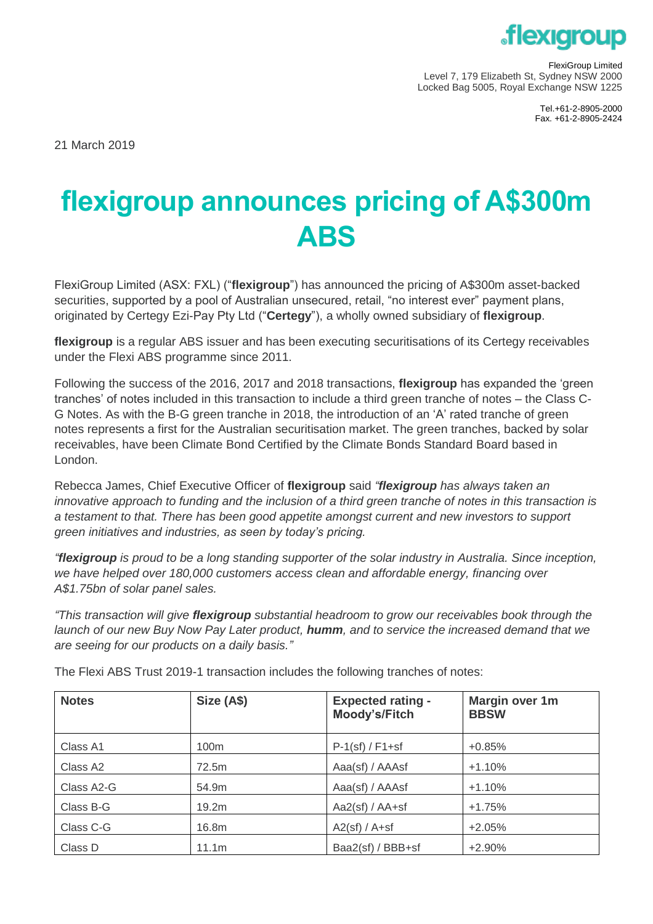

FlexiGroup Limited Level 7, 179 Elizabeth St, Sydney NSW 2000 Locked Bag 5005, Royal Exchange NSW 1225

> Tel.+61-2-8905-2000 Fax. +61-2-8905-2424

21 March 2019

## **flexigroup announces pricing of A\$300m ABS**

FlexiGroup Limited (ASX: FXL) ("**flexigroup**") has announced the pricing of A\$300m asset-backed securities, supported by a pool of Australian unsecured, retail, "no interest ever" payment plans, originated by Certegy Ezi-Pay Pty Ltd ("**Certegy**"), a wholly owned subsidiary of **flexigroup**.

**flexigroup** is a regular ABS issuer and has been executing securitisations of its Certegy receivables under the Flexi ABS programme since 2011.

Following the success of the 2016, 2017 and 2018 transactions, **flexigroup** has expanded the 'green tranches' of notes included in this transaction to include a third green tranche of notes – the Class C-G Notes. As with the B-G green tranche in 2018, the introduction of an 'A' rated tranche of green notes represents a first for the Australian securitisation market. The green tranches, backed by solar receivables, have been Climate Bond Certified by the Climate Bonds Standard Board based in London.

Rebecca James, Chief Executive Officer of **flexigroup** said *"flexigroup has always taken an innovative approach to funding and the inclusion of a third green tranche of notes in this transaction is a testament to that. There has been good appetite amongst current and new investors to support green initiatives and industries, as seen by today's pricing.* 

*"flexigroup is proud to be a long standing supporter of the solar industry in Australia. Since inception, we have helped over 180,000 customers access clean and affordable energy, financing over A\$1.75bn of solar panel sales.* 

*"This transaction will give flexigroup substantial headroom to grow our receivables book through the launch of our new Buy Now Pay Later product, humm, and to service the increased demand that we are seeing for our products on a daily basis."*

| <b>Notes</b>         | Size (A\$)       | <b>Expected rating -</b><br>Moody's/Fitch | Margin over 1m<br><b>BBSW</b> |
|----------------------|------------------|-------------------------------------------|-------------------------------|
| Class A1             | 100 <sub>m</sub> | $P-1$ (sf) / $F1+sf$                      | $+0.85%$                      |
| Class A <sub>2</sub> | 72.5m            | Aaa(sf) / AAAsf                           | $+1.10%$                      |
| Class A2-G           | 54.9m            | Aaa(sf) / AAAsf                           | $+1.10%$                      |
| Class B-G            | 19.2m            | Aa2(sf) / $AA+sf$                         | $+1.75%$                      |
| Class C-G            | 16.8m            | $A2(sf) / A + sf$                         | $+2.05%$                      |
| Class D              | 11.1m            | Baa2(sf) / BBB+sf                         | $+2.90\%$                     |

The Flexi ABS Trust 2019-1 transaction includes the following tranches of notes: